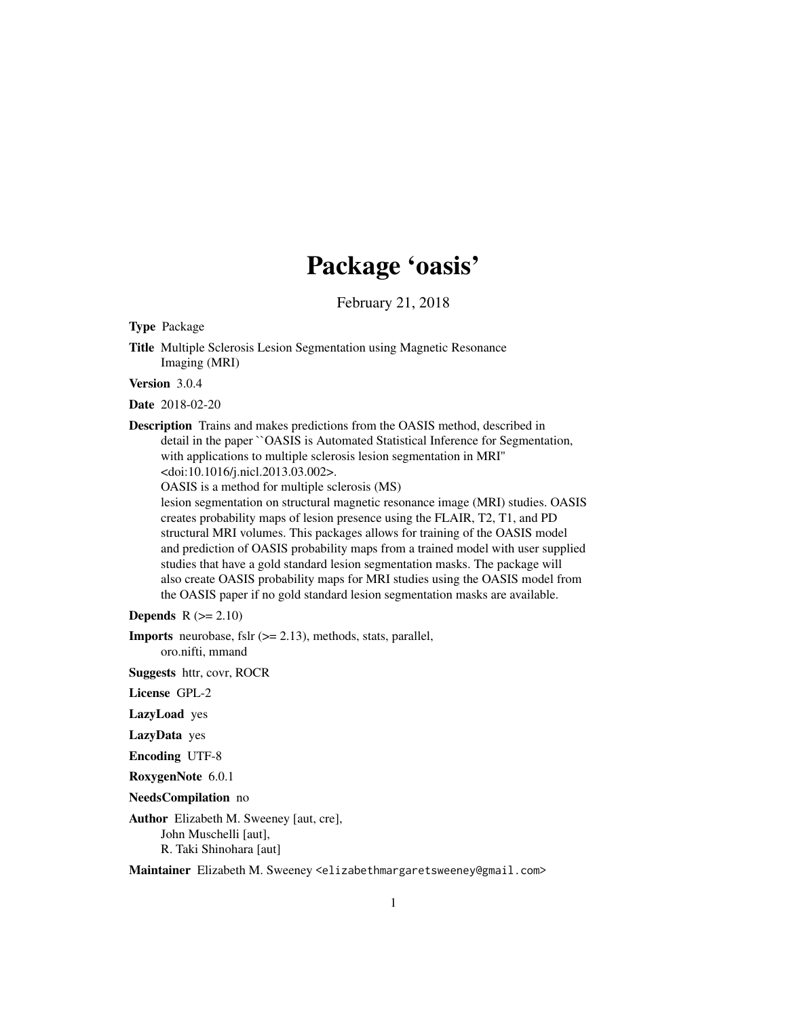# Package 'oasis'

February 21, 2018

<span id="page-0-0"></span>Type Package

Title Multiple Sclerosis Lesion Segmentation using Magnetic Resonance Imaging (MRI)

Version 3.0.4

Date 2018-02-20

Description Trains and makes predictions from the OASIS method, described in detail in the paper ``OASIS is Automated Statistical Inference for Segmentation, with applications to multiple sclerosis lesion segmentation in MRI'' <doi:10.1016/j.nicl.2013.03.002>.

OASIS is a method for multiple sclerosis (MS)

lesion segmentation on structural magnetic resonance image (MRI) studies. OASIS creates probability maps of lesion presence using the FLAIR, T2, T1, and PD structural MRI volumes. This packages allows for training of the OASIS model and prediction of OASIS probability maps from a trained model with user supplied studies that have a gold standard lesion segmentation masks. The package will also create OASIS probability maps for MRI studies using the OASIS model from the OASIS paper if no gold standard lesion segmentation masks are available.

Depends  $R (= 2.10)$ 

**Imports** neurobase, fslr  $(>= 2.13)$ , methods, stats, parallel, oro.nifti, mmand

Suggests httr, covr, ROCR

License GPL-2

LazyLoad yes

LazyData yes

Encoding UTF-8

RoxygenNote 6.0.1

NeedsCompilation no

Author Elizabeth M. Sweeney [aut, cre], John Muschelli [aut], R. Taki Shinohara [aut]

Maintainer Elizabeth M. Sweeney <elizabethmargaretsweeney@gmail.com>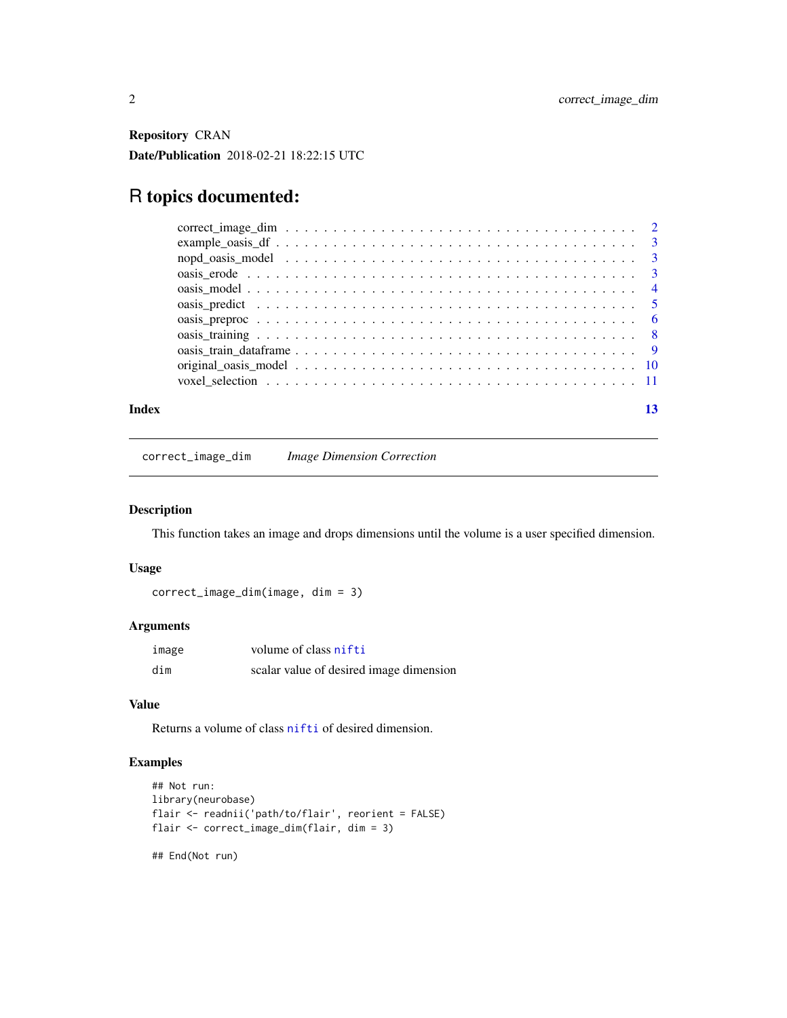<span id="page-1-0"></span>Repository CRAN Date/Publication 2018-02-21 18:22:15 UTC

## R topics documented:

| Index |  |
|-------|--|
|       |  |

correct\_image\_dim *Image Dimension Correction*

#### Description

This function takes an image and drops dimensions until the volume is a user specified dimension.

#### Usage

```
correct_image_dim(image, dim = 3)
```
#### Arguments

| image | volume of class nifti                   |
|-------|-----------------------------------------|
| dim   | scalar value of desired image dimension |

#### Value

Returns a volume of class [nifti](#page-0-0) of desired dimension.

### Examples

```
## Not run:
library(neurobase)
flair <- readnii('path/to/flair', reorient = FALSE)
flair <- correct_image_dim(flair, dim = 3)
```
## End(Not run)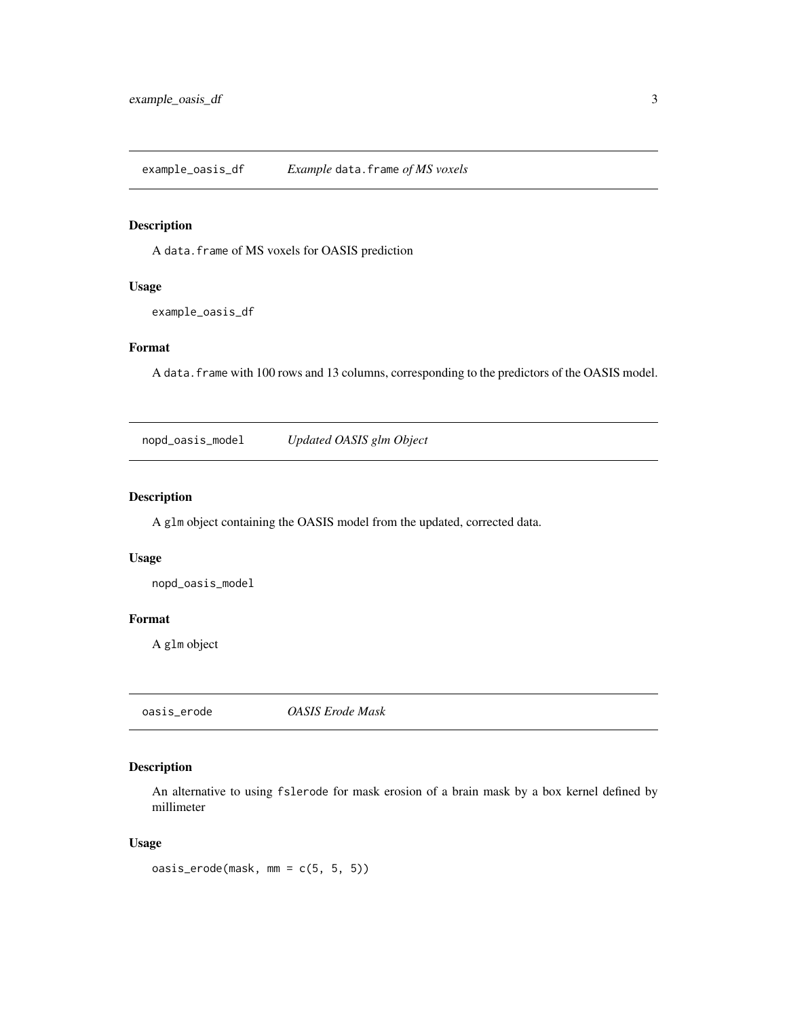<span id="page-2-0"></span>example\_oasis\_df *Example* data.frame *of MS voxels*

#### Description

A data.frame of MS voxels for OASIS prediction

#### Usage

example\_oasis\_df

#### Format

A data.frame with 100 rows and 13 columns, corresponding to the predictors of the OASIS model.

nopd\_oasis\_model *Updated OASIS glm Object*

#### Description

A glm object containing the OASIS model from the updated, corrected data.

#### Usage

nopd\_oasis\_model

#### Format

A glm object

<span id="page-2-1"></span>oasis\_erode *OASIS Erode Mask*

#### Description

An alternative to using fslerode for mask erosion of a brain mask by a box kernel defined by millimeter

#### Usage

oasis\_erode(mask, mm = c(5, 5, 5))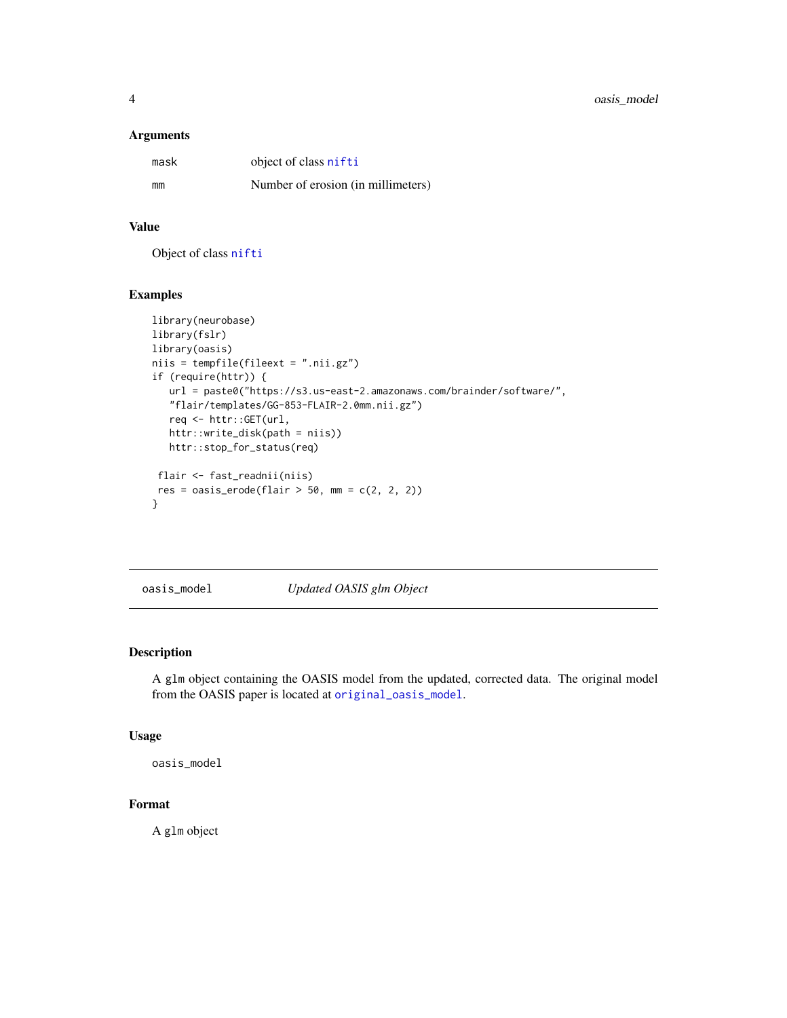#### <span id="page-3-0"></span>Arguments

| mask | object of class nifti              |
|------|------------------------------------|
| mm   | Number of erosion (in millimeters) |

### Value

Object of class [nifti](#page-0-0)

#### Examples

```
library(neurobase)
library(fslr)
library(oasis)
niis = tempfile(fileext = ".nii.gz")
if (require(httr)) {
  url = paste0("https://s3.us-east-2.amazonaws.com/brainder/software/",
   "flair/templates/GG-853-FLAIR-2.0mm.nii.gz")
  req <- httr::GET(url,
  httr::write_disk(path = niis))
  httr::stop_for_status(req)
 flair <- fast_readnii(niis)
res = oasis\_erode(flair > 50, mm = c(2, 2, 2))}
```
oasis\_model *Updated OASIS glm Object*

#### Description

A glm object containing the OASIS model from the updated, corrected data. The original model from the OASIS paper is located at [original\\_oasis\\_model](#page-9-1).

#### Usage

oasis\_model

#### Format

A glm object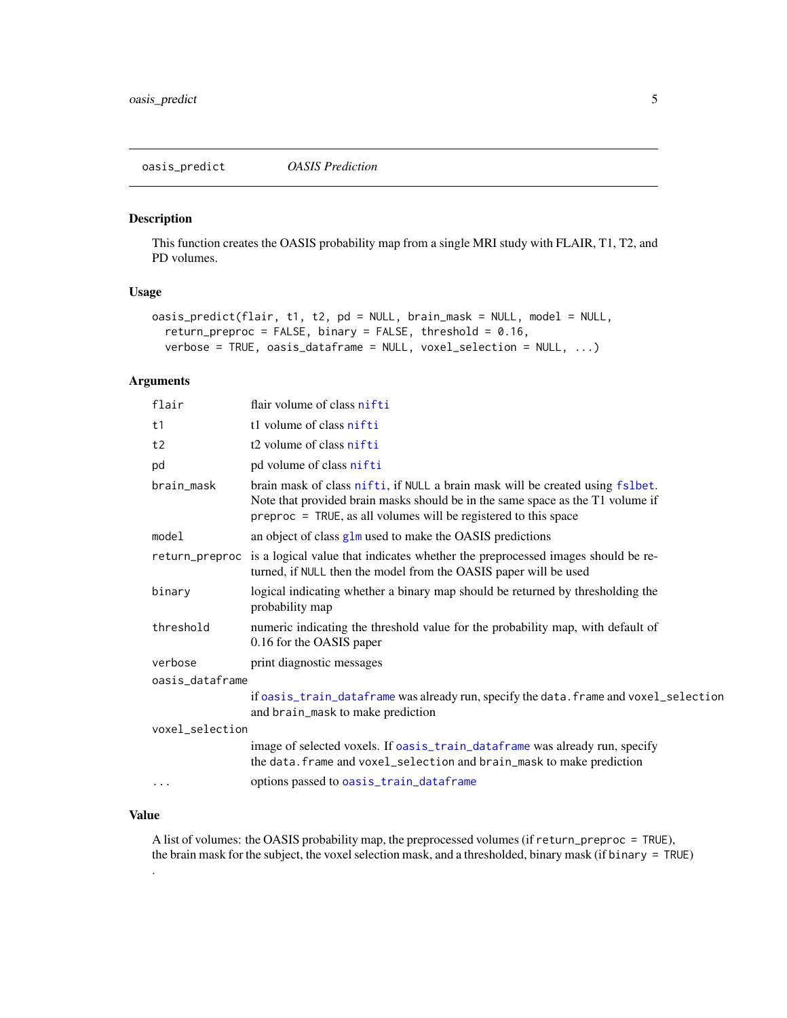<span id="page-4-1"></span><span id="page-4-0"></span>oasis\_predict *OASIS Prediction*

#### Description

This function creates the OASIS probability map from a single MRI study with FLAIR, T1, T2, and PD volumes.

#### Usage

```
oasis_predict(flair, t1, t2, pd = NULL, brain_mask = NULL, model = NULL,
  return_preproc = FALSE, binary = FALSE, threshold = 0.16,
  verbose = TRUE, oasis_dataframe = NULL, voxel_selection = NULL, ...)
```
#### Arguments

| flair           | flair volume of class nifti                                                                                                                                                                                                           |  |
|-----------------|---------------------------------------------------------------------------------------------------------------------------------------------------------------------------------------------------------------------------------------|--|
| t1              | t1 volume of class nifti                                                                                                                                                                                                              |  |
| t2              | t2 volume of class nifti                                                                                                                                                                                                              |  |
| pd              | pd volume of class nifti                                                                                                                                                                                                              |  |
| brain mask      | brain mask of class nifti, if NULL a brain mask will be created using fslbet.<br>Note that provided brain masks should be in the same space as the T1 volume if<br>$preproc = TRUE$ , as all volumes will be registered to this space |  |
| model           | an object of class glm used to make the OASIS predictions                                                                                                                                                                             |  |
|                 | return_preproc is a logical value that indicates whether the preprocessed images should be re-<br>turned, if NULL then the model from the OASIS paper will be used                                                                    |  |
| binary          | logical indicating whether a binary map should be returned by thresholding the<br>probability map                                                                                                                                     |  |
| threshold       | numeric indicating the threshold value for the probability map, with default of<br>0.16 for the OASIS paper                                                                                                                           |  |
| verbose         | print diagnostic messages                                                                                                                                                                                                             |  |
| oasis_dataframe |                                                                                                                                                                                                                                       |  |
|                 | if oasis_train_dataframe was already run, specify the data. frame and voxel_selection<br>and brain_mask to make prediction                                                                                                            |  |
| voxel_selection |                                                                                                                                                                                                                                       |  |
|                 | image of selected voxels. If oasis_train_dataframe was already run, specify<br>the data. frame and voxel_selection and brain_mask to make prediction                                                                                  |  |
|                 | options passed to oasis_train_dataframe                                                                                                                                                                                               |  |
|                 |                                                                                                                                                                                                                                       |  |

#### Value

.

A list of volumes: the OASIS probability map, the preprocessed volumes (if return\_preproc = TRUE), the brain mask for the subject, the voxel selection mask, and a thresholded, binary mask (if binary = TRUE)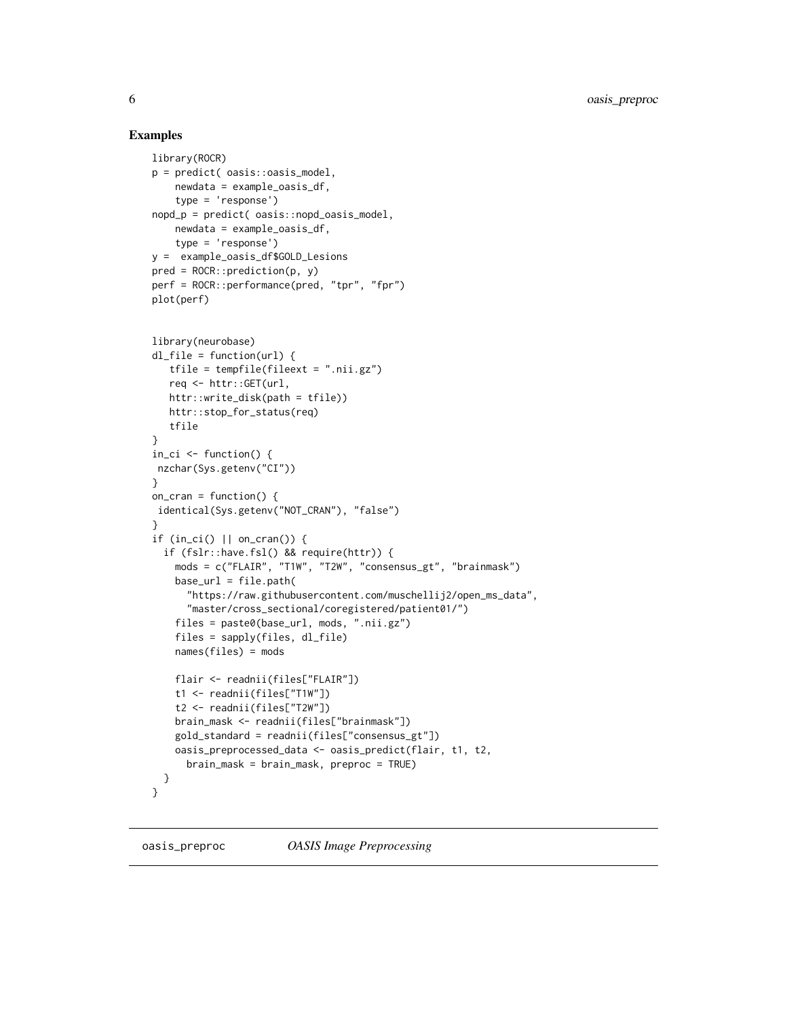#### Examples

```
library(ROCR)
p = predict( oasis::oasis_model,
   newdata = example_oasis_df,
    type = 'response')
nopd_p = predict( oasis::nopd_oasis_model,
   newdata = example_oasis_df,
    type = 'response')
y = example_oasis_df$GOLD_Lesions
pred = ROCR::prediction(p, y)perf = ROCR::performance(pred, "tpr", "fpr")
plot(perf)
library(neurobase)
dl_file = function(url) {
   tfile = tempfile(fileext = ".nii.gz")
   req <- httr::GET(url,
   httr::write_disk(path = tfile))
   httr::stop_for_status(req)
   tfile
}
in_c i \leftarrow function() {
nzchar(Sys.getenv("CI"))
}
on_cran = function() {
identical(Sys.getenv("NOT_CRAN"), "false")
}
if (in_ci() || on_cran()) {
  if (fslr::have.fsl() && require(httr)) {
    mods = c("FLAIR", "T1W", "T2W", "consensus_gt", "brainmask")
    base_url = file.path(
      "https://raw.githubusercontent.com/muschellij2/open_ms_data",
      "master/cross_sectional/coregistered/patient01/")
    files = paste0(base_url, mods, ".nii.gz")
    files = sapply(files, dl_file)
    names(files) = mods
    flair <- readnii(files["FLAIR"])
    t1 <- readnii(files["T1W"])
    t2 <- readnii(files["T2W"])
   brain_mask <- readnii(files["brainmask"])
    gold_standard = readnii(files["consensus_gt"])
    oasis_preprocessed_data <- oasis_predict(flair, t1, t2,
      brain_mask = brain_mask, preproc = TRUE)
  }
}
```
<span id="page-5-1"></span>oasis\_preproc *OASIS Image Preprocessing*

<span id="page-5-0"></span>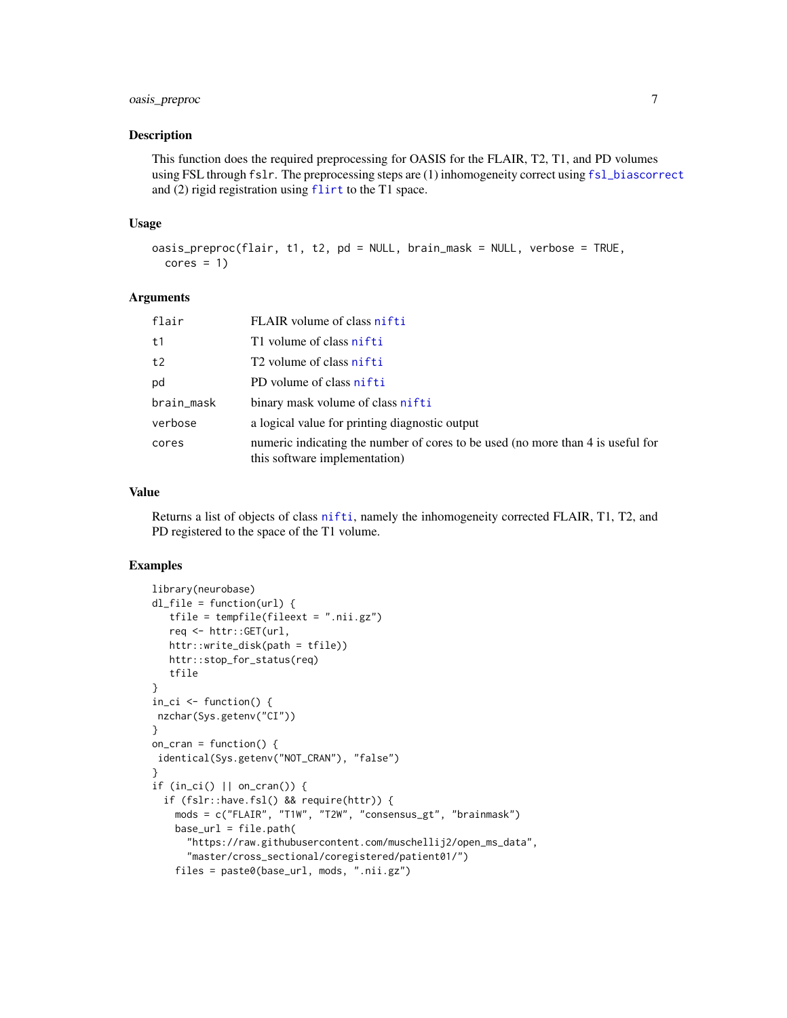#### <span id="page-6-0"></span>oasis\_preproc 7

#### Description

This function does the required preprocessing for OASIS for the FLAIR, T2, T1, and PD volumes using FSL through fslr. The preprocessing steps are (1) inhomogeneity correct using [fsl\\_biascorrect](#page-0-0) and (2) rigid registration using [flirt](#page-0-0) to the T1 space.

#### Usage

```
oasis_preproc(flair, t1, t2, pd = NULL, brain_mask = NULL, verbose = TRUE,
 cores = 1)
```
#### Arguments

| flair      | FLAIR volume of class nifti                                                                                      |
|------------|------------------------------------------------------------------------------------------------------------------|
| t1         | T1 volume of class nifti                                                                                         |
| t2         | T <sub>2</sub> volume of class nifti                                                                             |
| pd         | PD volume of class nifti                                                                                         |
| brain_mask | binary mask volume of class nifti                                                                                |
| verbose    | a logical value for printing diagnostic output                                                                   |
| cores      | numeric indicating the number of cores to be used (no more than 4 is useful for<br>this software implementation) |

#### Value

Returns a list of objects of class [nifti](#page-0-0), namely the inhomogeneity corrected FLAIR, T1, T2, and PD registered to the space of the T1 volume.

#### Examples

```
library(neurobase)
dl_file = function(url) {
  tfile = tempfile(fileext = ".nii.gz")
  req <- httr::GET(url,
  httr::write_disk(path = tfile))
  httr::stop_for_status(req)
  tfile
}
in_ci \leq function() {
nzchar(Sys.getenv("CI"))
}
on\_cran = function() {
identical(Sys.getenv("NOT_CRAN"), "false")
}
if (in_ci() || on_cran()) {
 if (fslr::have.fsl() && require(httr)) {
   mods = c("FLAIR", "T1W", "T2W", "consensus_gt", "brainmask")
   base_url = file.path(
     "https://raw.githubusercontent.com/muschellij2/open_ms_data",
     "master/cross_sectional/coregistered/patient01/")
    files = paste0(base_url, mods, ".nii.gz")
```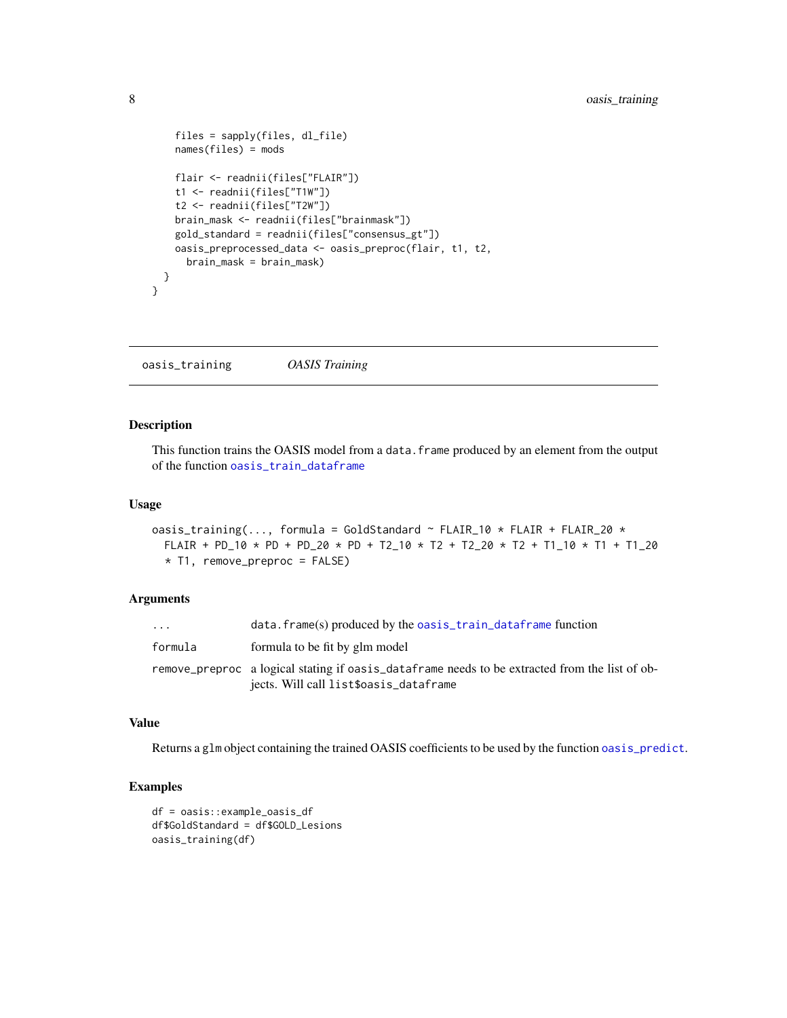```
files = sapply(files, dl_file)
   names(files) = mods
   flair <- readnii(files["FLAIR"])
   t1 <- readnii(files["T1W"])
   t2 <- readnii(files["T2W"])
   brain_mask <- readnii(files["brainmask"])
   gold_standard = readnii(files["consensus_gt"])
   oasis_preprocessed_data <- oasis_preproc(flair, t1, t2,
     brain_mask = brain_mask)
 }
}
```
<span id="page-7-1"></span>oasis\_training *OASIS Training*

#### Description

This function trains the OASIS model from a data.frame produced by an element from the output of the function [oasis\\_train\\_dataframe](#page-8-1)

#### Usage

```
oasis_training(..., formula = GoldStandard ~ FLAIR_10 * FLAIR + FLAIR_20 *
  FLAIR + PD_10 \star PD + PD_20 \star PD + T2_10 \star T2 + T2_20 \star T2 + T1_10 \star T1 + T1_20
  * T1, remove_preproc = FALSE)
```
#### Arguments

| $\cdots$ | $data.$ frame(s) produced by the oasis_train_dataframe function                                                                          |
|----------|------------------------------------------------------------------------------------------------------------------------------------------|
| formula  | formula to be fit by glm model                                                                                                           |
|          | remove preproc a logical stating if oasis dataframe needs to be extracted from the list of ob-<br>jects. Will call list\$oasis_dataframe |

#### Value

Returns a glm object containing the trained OASIS coefficients to be used by the function [oasis\\_predict](#page-4-1).

#### Examples

```
df = oasis::example_oasis_df
df$GoldStandard = df$GOLD_Lesions
oasis_training(df)
```
<span id="page-7-0"></span>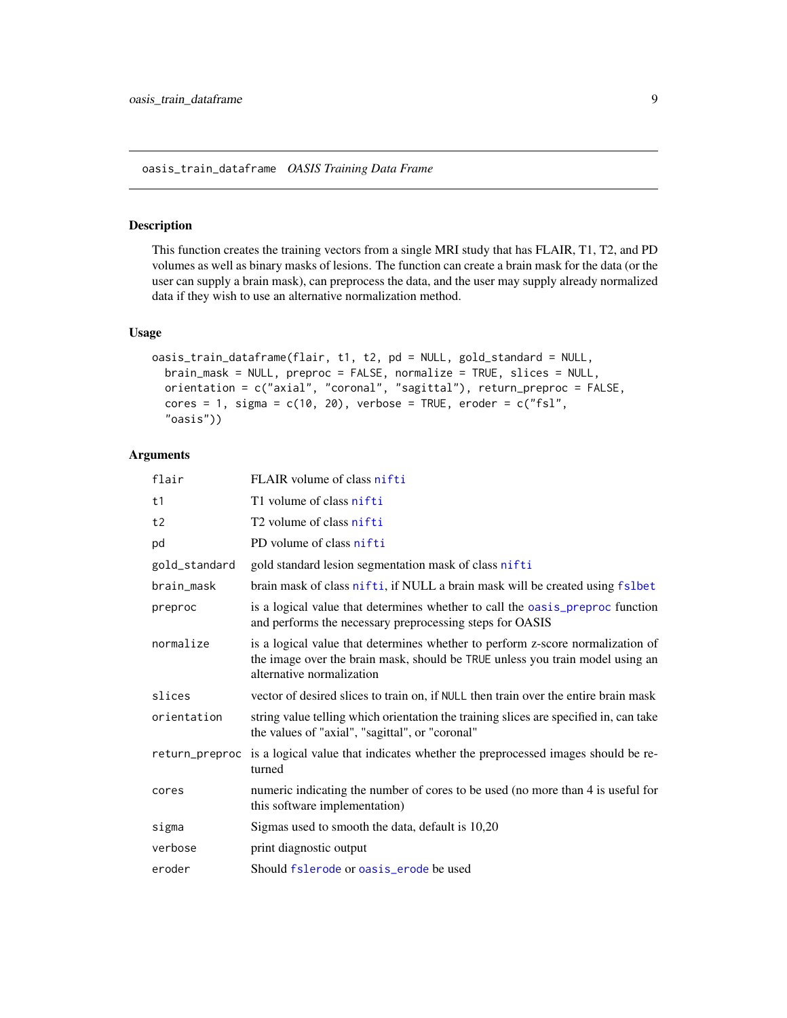<span id="page-8-1"></span><span id="page-8-0"></span>oasis\_train\_dataframe *OASIS Training Data Frame*

#### Description

This function creates the training vectors from a single MRI study that has FLAIR, T1, T2, and PD volumes as well as binary masks of lesions. The function can create a brain mask for the data (or the user can supply a brain mask), can preprocess the data, and the user may supply already normalized data if they wish to use an alternative normalization method.

#### Usage

```
oasis_train_dataframe(flair, t1, t2, pd = NULL, gold_standard = NULL,
 brain_mask = NULL, preproc = FALSE, normalize = TRUE, slices = NULL,
 orientation = c("axial", "coronal", "sagittal"), return_preproc = FALSE,
  cores = 1, sigma = c(10, 20), verbose = TRUE, eroder = c("fsl","oasis"))
```
#### Arguments

| flair          | FLAIR volume of class nifti                                                                                                                                                                  |
|----------------|----------------------------------------------------------------------------------------------------------------------------------------------------------------------------------------------|
| t1             | T1 volume of class nifti                                                                                                                                                                     |
| t2             | T <sub>2</sub> volume of class nifti                                                                                                                                                         |
| pd             | PD volume of class nifti                                                                                                                                                                     |
| gold_standard  | gold standard lesion segmentation mask of class nifti                                                                                                                                        |
| brain_mask     | brain mask of class nifti, if NULL a brain mask will be created using fslbet                                                                                                                 |
| preproc        | is a logical value that determines whether to call the oasis_preproc function<br>and performs the necessary preprocessing steps for OASIS                                                    |
| normalize      | is a logical value that determines whether to perform z-score normalization of<br>the image over the brain mask, should be TRUE unless you train model using an<br>alternative normalization |
| slices         | vector of desired slices to train on, if NULL then train over the entire brain mask                                                                                                          |
| orientation    | string value telling which orientation the training slices are specified in, can take<br>the values of "axial", "sagittal", or "coronal"                                                     |
| return_preproc | is a logical value that indicates whether the preprocessed images should be re-<br>turned                                                                                                    |
| cores          | numeric indicating the number of cores to be used (no more than 4 is useful for<br>this software implementation)                                                                             |
| sigma          | Sigmas used to smooth the data, default is 10,20                                                                                                                                             |
| verbose        | print diagnostic output                                                                                                                                                                      |
| eroder         | Should fslerode or oasis_erode be used                                                                                                                                                       |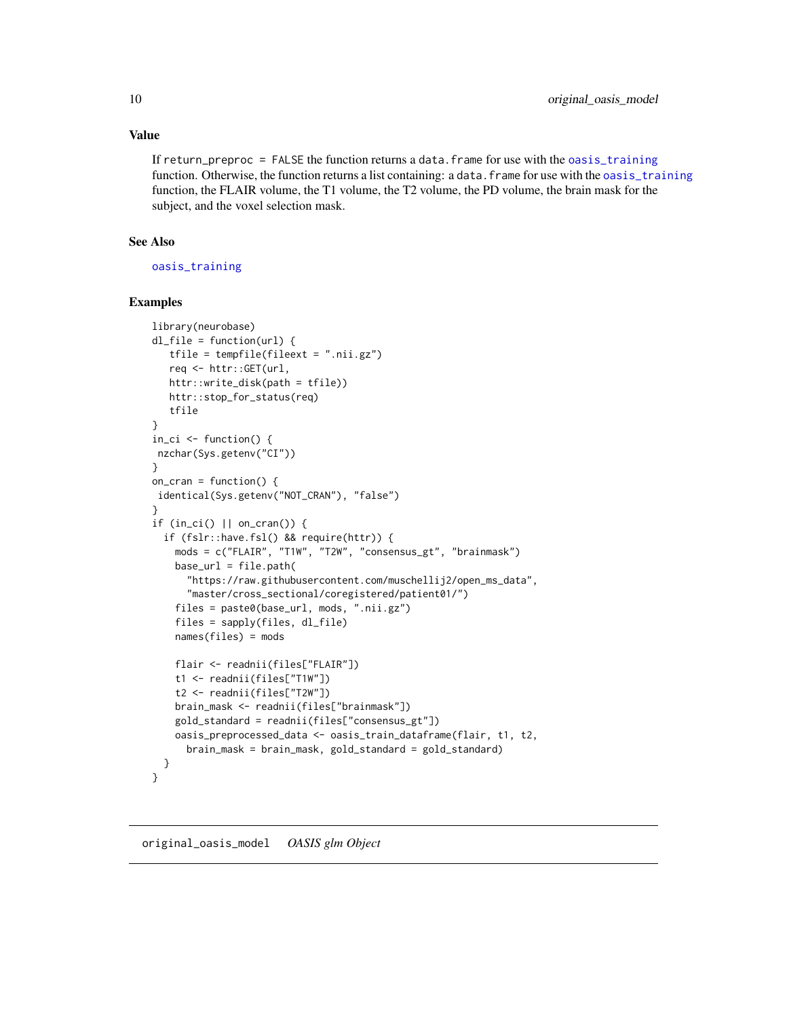#### <span id="page-9-0"></span>Value

If return\_preproc = FALSE the function returns a data.frame for use with the [oasis\\_training](#page-7-1) function. Otherwise, the function returns a list containing: a data. frame for use with the [oasis\\_training](#page-7-1) function, the FLAIR volume, the T1 volume, the T2 volume, the PD volume, the brain mask for the subject, and the voxel selection mask.

#### See Also

[oasis\\_training](#page-7-1)

#### Examples

```
library(neurobase)
dl_file = function(url) {
  tfile = tempfile(fileext = ".nii.gz")
   req <- httr::GET(url,
   httr::write_disk(path = tfile))
   httr::stop_for_status(req)
   tfile
}
in_ci <- function() {
nzchar(Sys.getenv("CI"))
}
on_cran = function() {
identical(Sys.getenv("NOT_CRAN"), "false")
}
if (in_ci() || on_cran()) {
  if (fslr::have.fsl() && require(httr)) {
    mods = c("FLAIR", "T1W", "T2W", "consensus_gt", "brainmask")
    base_url = file.path(
      "https://raw.githubusercontent.com/muschellij2/open_ms_data",
      "master/cross_sectional/coregistered/patient01/")
    files = paste0(base_url, mods, ".nii.gz")
    files = sapply(files, dl_file)
    names(files) = mods
    flair <- readnii(files["FLAIR"])
    t1 <- readnii(files["T1W"])
    t2 <- readnii(files["T2W"])
    brain_mask <- readnii(files["brainmask"])
    gold_standard = readnii(files["consensus_gt"])
    oasis_preprocessed_data <- oasis_train_dataframe(flair, t1, t2,
      brain_mask = brain_mask, gold_standard = gold_standard)
  }
}
```
<span id="page-9-1"></span>original\_oasis\_model *OASIS glm Object*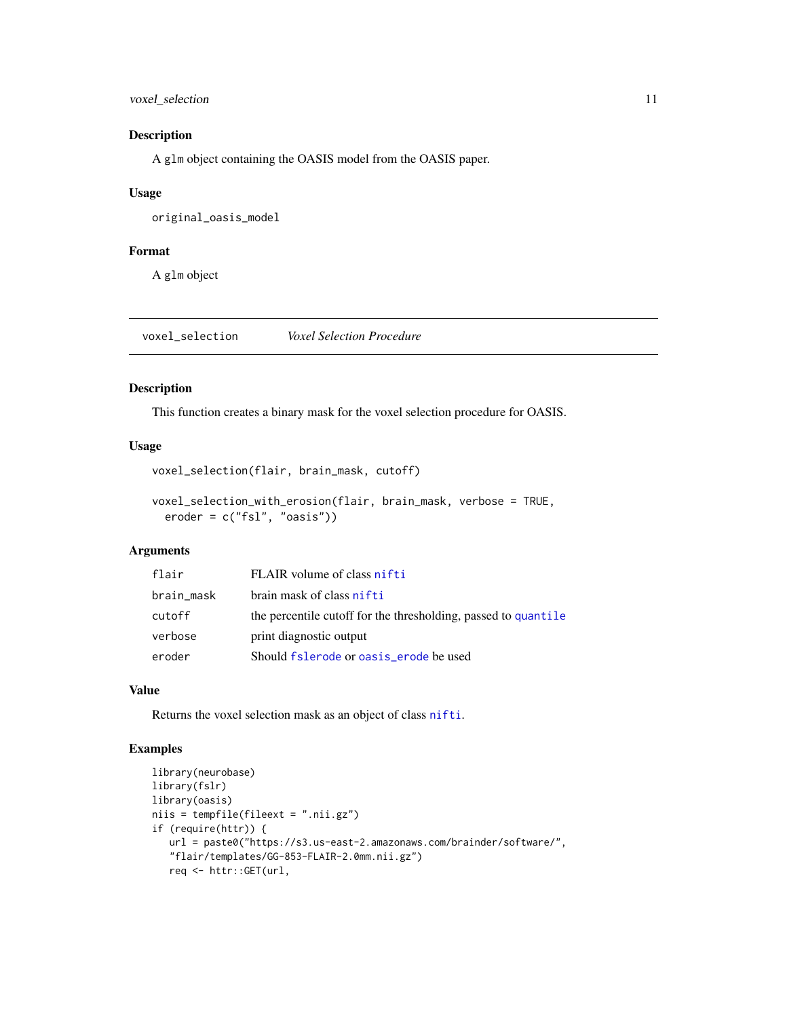#### <span id="page-10-0"></span>voxel\_selection 11

#### Description

A glm object containing the OASIS model from the OASIS paper.

#### Usage

original\_oasis\_model

#### Format

A glm object

voxel\_selection *Voxel Selection Procedure*

#### Description

This function creates a binary mask for the voxel selection procedure for OASIS.

#### Usage

```
voxel_selection(flair, brain_mask, cutoff)
```

```
voxel_selection_with_erosion(flair, brain_mask, verbose = TRUE,
 eroder = c("fsl", "oasis"))
```
#### Arguments

| flair      | FLAIR volume of class nifti                                    |
|------------|----------------------------------------------------------------|
| brain_mask | brain mask of class nifti                                      |
| cutoff     | the percentile cutoff for the thresholding, passed to quantile |
| verbose    | print diagnostic output                                        |
| eroder     | Should fslerode or oasis_erode be used                         |

#### Value

Returns the voxel selection mask as an object of class [nifti](#page-0-0).

#### Examples

```
library(neurobase)
library(fslr)
library(oasis)
niis = tempfile(fileext = ".nii.gz")
if (require(httr)) {
  url = paste0("https://s3.us-east-2.amazonaws.com/brainder/software/",
   "flair/templates/GG-853-FLAIR-2.0mm.nii.gz")
   req <- httr::GET(url,
```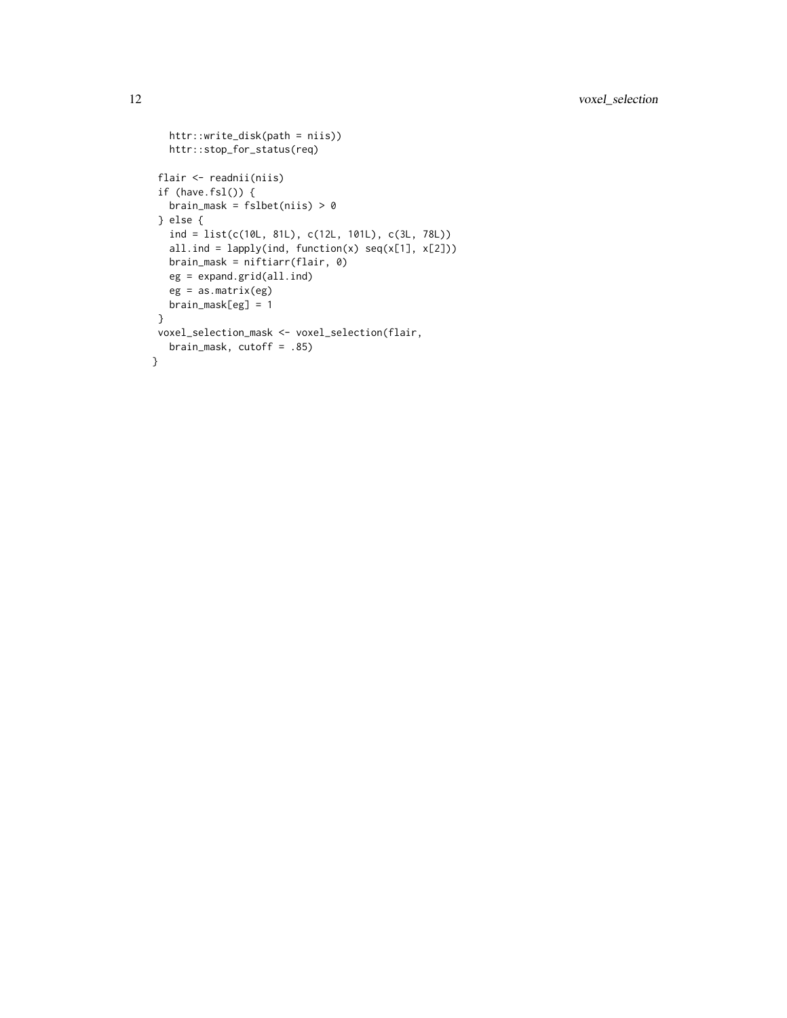```
httr::write_disk(path = niis))
  httr::stop_for_status(req)
flair <- readnii(niis)
if (have.fsl()) {
  brain_mask = fslbet(niis) > 0} else {
  ind = list(c(10L, 81L), c(12L, 101L), c(3L, 78L))
  all.ind = lapply(ind, function(x) seq(x[1], x[2]))brain_mask = niftiarr(flair, 0)
  eg = expand.grid(all.ind)
  eg = as.matrix(eg)
  brain_mask[eg] = 1
}
voxel_selection_mask <- voxel_selection(flair,
  brain_mask, cutoff = .85)
}
```